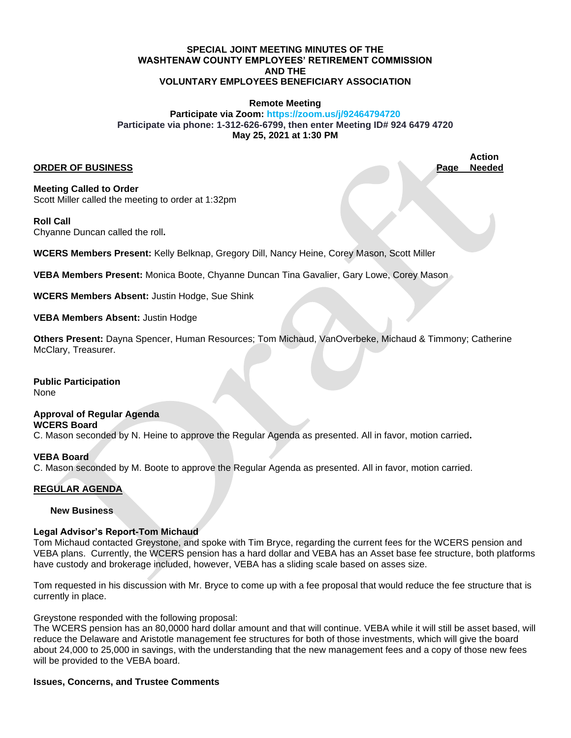### **SPECIAL JOINT MEETING MINUTES OF THE WASHTENAW COUNTY EMPLOYEES' RETIREMENT COMMISSION AND THE VOLUNTARY EMPLOYEES BENEFICIARY ASSOCIATION**

### **Remote Meeting**

### **Participate via Zoom: https://zoom.us/j/92464794720 Participate via phone: 1-312-626-6799, then enter Meeting ID# 924 6479 4720 May 25, 2021 at 1:30 PM**

### **ORDER OF BUSINESS Page Needed**

**Action**

**Meeting Called to Order** Scott Miller called the meeting to order at 1:32pm

#### **Roll Call**

Chyanne Duncan called the roll**.** 

**WCERS Members Present:** Kelly Belknap, Gregory Dill, Nancy Heine, Corey Mason, Scott Miller

**VEBA Members Present:** Monica Boote, Chyanne Duncan Tina Gavalier, Gary Lowe, Corey Mason

**WCERS Members Absent:** Justin Hodge, Sue Shink

**VEBA Members Absent:** Justin Hodge

**Others Present:** Dayna Spencer, Human Resources; Tom Michaud, VanOverbeke, Michaud & Timmony; Catherine McClary, Treasurer.

**Public Participation** None

### **Approval of Regular Agenda WCERS Board**  C. Mason seconded by N. Heine to approve the Regular Agenda as presented. All in favor, motion carried**.**

# **VEBA Board**

C. Mason seconded by M. Boote to approve the Regular Agenda as presented. All in favor, motion carried.

# **REGULAR AGENDA**

## **New Business**

## **Legal Advisor's Report-Tom Michaud**

Tom Michaud contacted Greystone, and spoke with Tim Bryce, regarding the current fees for the WCERS pension and VEBA plans. Currently, the WCERS pension has a hard dollar and VEBA has an Asset base fee structure, both platforms have custody and brokerage included, however, VEBA has a sliding scale based on asses size.

Tom requested in his discussion with Mr. Bryce to come up with a fee proposal that would reduce the fee structure that is currently in place.

Greystone responded with the following proposal:

The WCERS pension has an 80,0000 hard dollar amount and that will continue. VEBA while it will still be asset based, will reduce the Delaware and Aristotle management fee structures for both of those investments, which will give the board about 24,000 to 25,000 in savings, with the understanding that the new management fees and a copy of those new fees will be provided to the VEBA board.

## **Issues, Concerns, and Trustee Comments**